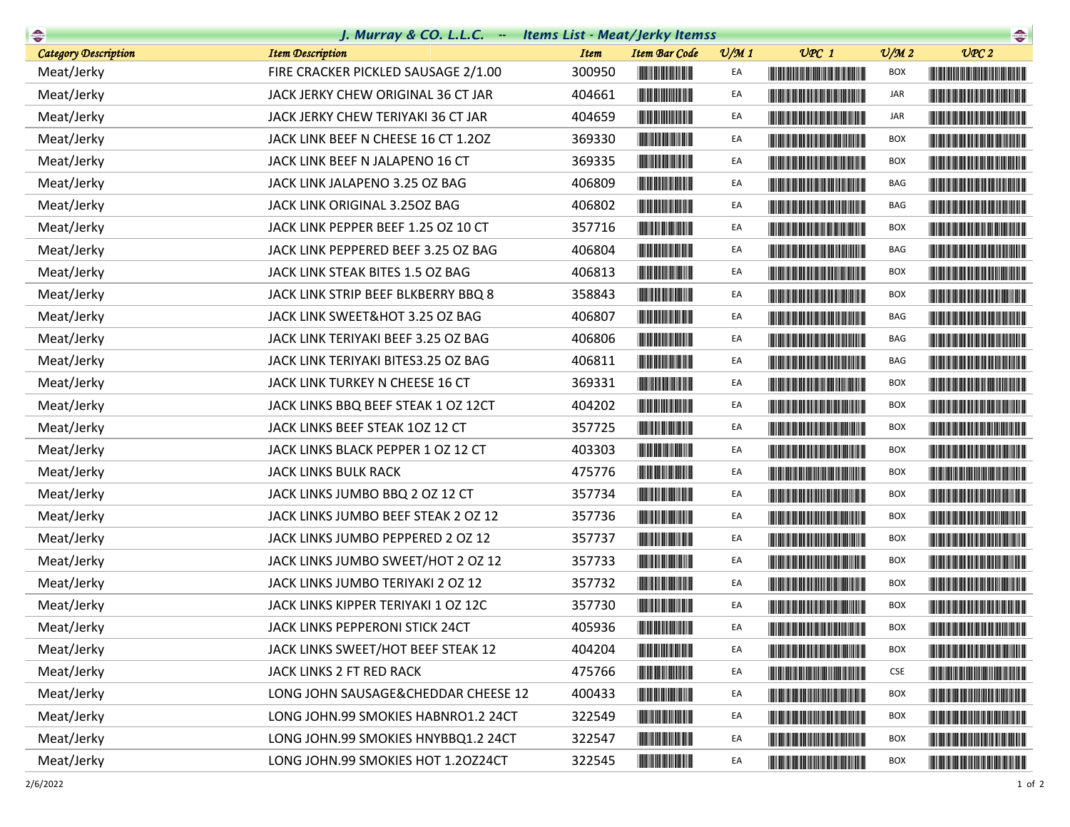| $\begin{picture}(20,10) \put(0,0){\line(1,0){10}} \put(10,0){\line(1,0){10}} \put(10,0){\line(1,0){10}} \put(10,0){\line(1,0){10}} \put(10,0){\line(1,0){10}} \put(10,0){\line(1,0){10}} \put(10,0){\line(1,0){10}} \put(10,0){\line(1,0){10}} \put(10,0){\line(1,0){10}} \put(10,0){\line(1,0){10}} \put(10,0){\line(1,0){10}} \put(10,0){\line(1$ | J. Murray & CO. L.L.C. - Items List - Meat/Jerky Itemss |             |                                                                                                                       |                 |                                                                                                                                                                                                                                      |                             | $\begin{picture}(20,10) \put(0,0){\line(1,0){10}} \put(15,0){\line(1,0){10}} \put(15,0){\line(1,0){10}} \put(15,0){\line(1,0){10}} \put(15,0){\line(1,0){10}} \put(15,0){\line(1,0){10}} \put(15,0){\line(1,0){10}} \put(15,0){\line(1,0){10}} \put(15,0){\line(1,0){10}} \put(15,0){\line(1,0){10}} \put(15,0){\line(1,0){10}} \put(15,0){\line(1$ |
|-----------------------------------------------------------------------------------------------------------------------------------------------------------------------------------------------------------------------------------------------------------------------------------------------------------------------------------------------------|---------------------------------------------------------|-------------|-----------------------------------------------------------------------------------------------------------------------|-----------------|--------------------------------------------------------------------------------------------------------------------------------------------------------------------------------------------------------------------------------------|-----------------------------|-----------------------------------------------------------------------------------------------------------------------------------------------------------------------------------------------------------------------------------------------------------------------------------------------------------------------------------------------------|
| <b>Category Description</b>                                                                                                                                                                                                                                                                                                                         | <b>Item Description</b>                                 | <b>Item</b> | <b>Item Bar Code</b>                                                                                                  | $\frac{v}{M}$ 1 | $UPC$ 1                                                                                                                                                                                                                              | $\mathcal{O}/\mathcal{M}$ 2 | UPC2                                                                                                                                                                                                                                                                                                                                                |
| Meat/Jerky                                                                                                                                                                                                                                                                                                                                          | FIRE CRACKER PICKLED SAUSAGE 2/1.00                     | 300950      |                                                                                                                       | EA              |                                                                                                                                                                                                                                      | <b>BOX</b>                  |                                                                                                                                                                                                                                                                                                                                                     |
| Meat/Jerky                                                                                                                                                                                                                                                                                                                                          | JACK JERKY CHEW ORIGINAL 36 CT JAR                      | 404661      | <u> Indian American Indian Indian Indian Indian Indian Indian Indian Indian Indian Indian Indian Indian Indian In</u> | EA              |                                                                                                                                                                                                                                      | JAR                         |                                                                                                                                                                                                                                                                                                                                                     |
| Meat/Jerky                                                                                                                                                                                                                                                                                                                                          | JACK JERKY CHEW TERIYAKI 36 CT JAR                      | 404659      |                                                                                                                       | EA              |                                                                                                                                                                                                                                      | JAR                         |                                                                                                                                                                                                                                                                                                                                                     |
| Meat/Jerky                                                                                                                                                                                                                                                                                                                                          | JACK LINK BEEF N CHEESE 16 CT 1.2OZ                     | 369330      |                                                                                                                       | EA              | <u> Harry Harry Harry Harry Harry Harry Harry Harry Harry Harry Harry Harry Harry Harry Harry Harry Harry Harry Harry Harry Harry Harry Harry Harry Harry Harry Harry Harry Harry Harry Harry Harry Harry Harry Harry Harry Harr</u> | BOX                         |                                                                                                                                                                                                                                                                                                                                                     |
| Meat/Jerky                                                                                                                                                                                                                                                                                                                                          | JACK LINK BEEF N JALAPENO 16 CT                         | 369335      |                                                                                                                       | EA              |                                                                                                                                                                                                                                      | <b>BOX</b>                  |                                                                                                                                                                                                                                                                                                                                                     |
| Meat/Jerky                                                                                                                                                                                                                                                                                                                                          | JACK LINK JALAPENO 3.25 OZ BAG                          | 406809      |                                                                                                                       | EA              |                                                                                                                                                                                                                                      | BAG                         |                                                                                                                                                                                                                                                                                                                                                     |
| Meat/Jerky                                                                                                                                                                                                                                                                                                                                          | JACK LINK ORIGINAL 3.250Z BAG                           | 406802      |                                                                                                                       | EA              |                                                                                                                                                                                                                                      | BAG                         |                                                                                                                                                                                                                                                                                                                                                     |
| Meat/Jerky                                                                                                                                                                                                                                                                                                                                          | JACK LINK PEPPER BEEF 1.25 OZ 10 CT                     | 357716      |                                                                                                                       | EA              |                                                                                                                                                                                                                                      | BOX                         |                                                                                                                                                                                                                                                                                                                                                     |
| Meat/Jerky                                                                                                                                                                                                                                                                                                                                          | JACK LINK PEPPERED BEEF 3.25 OZ BAG                     | 406804      | <u> Herbert Herbert in der Entschaft</u>                                                                              | EA              |                                                                                                                                                                                                                                      | BAG                         |                                                                                                                                                                                                                                                                                                                                                     |
| Meat/Jerky                                                                                                                                                                                                                                                                                                                                          | JACK LINK STEAK BITES 1.5 OZ BAG                        | 406813      |                                                                                                                       | EA              |                                                                                                                                                                                                                                      | <b>BOX</b>                  |                                                                                                                                                                                                                                                                                                                                                     |
| Meat/Jerky                                                                                                                                                                                                                                                                                                                                          | JACK LINK STRIP BEEF BLKBERRY BBQ 8                     | 358843      |                                                                                                                       | EA              |                                                                                                                                                                                                                                      | BOX                         |                                                                                                                                                                                                                                                                                                                                                     |
| Meat/Jerky                                                                                                                                                                                                                                                                                                                                          | JACK LINK SWEET&HOT 3.25 OZ BAG                         | 406807      |                                                                                                                       | EA              |                                                                                                                                                                                                                                      | BAG                         |                                                                                                                                                                                                                                                                                                                                                     |
| Meat/Jerky                                                                                                                                                                                                                                                                                                                                          | JACK LINK TERIYAKI BEEF 3.25 OZ BAG                     | 406806      |                                                                                                                       | EA              |                                                                                                                                                                                                                                      | BAG                         |                                                                                                                                                                                                                                                                                                                                                     |
| Meat/Jerky                                                                                                                                                                                                                                                                                                                                          | JACK LINK TERIYAKI BITES3.25 OZ BAG                     | 406811      |                                                                                                                       | EA              |                                                                                                                                                                                                                                      | BAG                         | <u> Lithagan ann an 1970 ann an 1970 ann an 1971. Tha i bheil ann an 1971 ann an 1971 ann an 1971 ann an 1971 ann </u>                                                                                                                                                                                                                              |
| Meat/Jerky                                                                                                                                                                                                                                                                                                                                          | JACK LINK TURKEY N CHEESE 16 CT                         | 369331      |                                                                                                                       | EA              |                                                                                                                                                                                                                                      | <b>BOX</b>                  |                                                                                                                                                                                                                                                                                                                                                     |
| Meat/Jerky                                                                                                                                                                                                                                                                                                                                          | JACK LINKS BBQ BEEF STEAK 1 OZ 12CT                     | 404202      |                                                                                                                       | EA              |                                                                                                                                                                                                                                      | BOX                         |                                                                                                                                                                                                                                                                                                                                                     |
| Meat/Jerky                                                                                                                                                                                                                                                                                                                                          | JACK LINKS BEEF STEAK 10Z 12 CT                         | 357725      | <b>The Committee of the Committee of the Committee</b>                                                                | EA              |                                                                                                                                                                                                                                      | BOX                         |                                                                                                                                                                                                                                                                                                                                                     |
| Meat/Jerky                                                                                                                                                                                                                                                                                                                                          | JACK LINKS BLACK PEPPER 1 OZ 12 CT                      | 403303      |                                                                                                                       | EA              |                                                                                                                                                                                                                                      | <b>BOX</b>                  |                                                                                                                                                                                                                                                                                                                                                     |
| Meat/Jerky                                                                                                                                                                                                                                                                                                                                          | JACK LINKS BULK RACK                                    | 475776      |                                                                                                                       | EA              |                                                                                                                                                                                                                                      | BOX                         |                                                                                                                                                                                                                                                                                                                                                     |
| Meat/Jerky                                                                                                                                                                                                                                                                                                                                          | JACK LINKS JUMBO BBQ 2 OZ 12 CT                         | 357734      |                                                                                                                       | EA              |                                                                                                                                                                                                                                      | BOX                         |                                                                                                                                                                                                                                                                                                                                                     |
| Meat/Jerky                                                                                                                                                                                                                                                                                                                                          | JACK LINKS JUMBO BEEF STEAK 2 OZ 12                     | 357736      | <b>The Committee of the Committee of the Committee</b>                                                                | EA              |                                                                                                                                                                                                                                      | BOX                         |                                                                                                                                                                                                                                                                                                                                                     |
| Meat/Jerky                                                                                                                                                                                                                                                                                                                                          | JACK LINKS JUMBO PEPPERED 2 OZ 12                       | 357737      |                                                                                                                       | EA              |                                                                                                                                                                                                                                      | <b>BOX</b>                  |                                                                                                                                                                                                                                                                                                                                                     |
| Meat/Jerky                                                                                                                                                                                                                                                                                                                                          | JACK LINKS JUMBO SWEET/HOT 2 OZ 12                      | 357733      |                                                                                                                       | EA              | <b>The Second Company's Second Second Second</b>                                                                                                                                                                                     | <b>BOX</b>                  |                                                                                                                                                                                                                                                                                                                                                     |
| Meat/Jerky                                                                                                                                                                                                                                                                                                                                          | JACK LINKS JUMBO TERIYAKI 2 OZ 12                       | 357732      |                                                                                                                       | EA              |                                                                                                                                                                                                                                      | BOX                         |                                                                                                                                                                                                                                                                                                                                                     |
| Meat/Jerky                                                                                                                                                                                                                                                                                                                                          | JACK LINKS KIPPER TERIYAKI 1 OZ 12C                     | 357730      |                                                                                                                       | EA              |                                                                                                                                                                                                                                      | <b>BOX</b>                  |                                                                                                                                                                                                                                                                                                                                                     |
| Meat/Jerky                                                                                                                                                                                                                                                                                                                                          | JACK LINKS PEPPERONI STICK 24CT                         | 405936      | <b>The Community</b>                                                                                                  | EA              |                                                                                                                                                                                                                                      | BOX                         |                                                                                                                                                                                                                                                                                                                                                     |
| Meat/Jerky                                                                                                                                                                                                                                                                                                                                          | JACK LINKS SWEET/HOT BEEF STEAK 12                      | 404204      |                                                                                                                       | EA              | <u> Timba ka masa sa kasang mga kalendari ng mga kasang mga kalendari ng mga kasang mga kasang mga kasang mga kasang mga kasang mga kasang mga kasang mga kasang mga kasang mga kasang mga kasang mga kasang mga kasang mga kasa</u> | BOX                         |                                                                                                                                                                                                                                                                                                                                                     |
| Meat/Jerky                                                                                                                                                                                                                                                                                                                                          | JACK LINKS 2 FT RED RACK                                | 475766      | <u> III de la provincia de la provincia de la provincia de la provincia de la provincia de la provincia de la pro</u> | EA              |                                                                                                                                                                                                                                      | <b>CSE</b>                  |                                                                                                                                                                                                                                                                                                                                                     |
| Meat/Jerky                                                                                                                                                                                                                                                                                                                                          | LONG JOHN SAUSAGE&CHEDDAR CHEESE 12                     | 400433      | <b>The Community of the Community</b>                                                                                 | EA              |                                                                                                                                                                                                                                      | <b>BOX</b>                  |                                                                                                                                                                                                                                                                                                                                                     |
| Meat/Jerky                                                                                                                                                                                                                                                                                                                                          | LONG JOHN.99 SMOKIES HABNRO1.2 24CT                     | 322549      | <b>The Committee of the Committee of the Committee</b>                                                                | EA              |                                                                                                                                                                                                                                      | BOX                         |                                                                                                                                                                                                                                                                                                                                                     |
| Meat/Jerky                                                                                                                                                                                                                                                                                                                                          | LONG JOHN.99 SMOKIES HNYBBQ1.2 24CT                     | 322547      | <u> Indian Andrew Maria II</u>                                                                                        | EA              |                                                                                                                                                                                                                                      | BOX                         | <u> Harris Harris Harris Harris Harris Harris Harris Harris Harris Harris Harris Harris Harris Harris Harris Harris Harris Harris Harris Harris Harris Harris Harris Harris Harris Harris Harris Harris Harris Harris Harris Har</u>                                                                                                                |
| Meat/Jerky                                                                                                                                                                                                                                                                                                                                          | LONG JOHN.99 SMOKIES HOT 1.20Z24CT                      | 322545      |                                                                                                                       | EA              |                                                                                                                                                                                                                                      | BOX                         |                                                                                                                                                                                                                                                                                                                                                     |